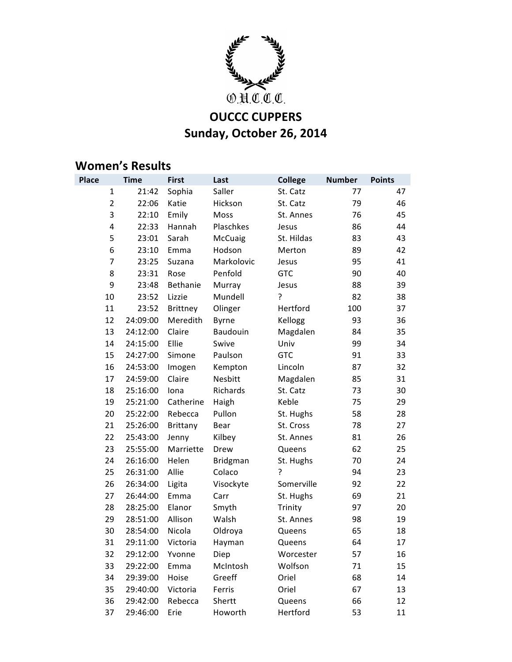

## **Sunday, October 26, 2014**

## **Women's Results**<br>Place Time Fi

| <b>Place</b> | <b>Time</b>             | <b>First</b>    | Last            | <b>College</b> | <b>Number</b> | <b>Points</b> |
|--------------|-------------------------|-----------------|-----------------|----------------|---------------|---------------|
|              | 21:42<br>1              | Sophia          | Saller          | St. Catz       | 77            | 47            |
|              | $\overline{2}$<br>22:06 | Katie           | Hickson         | St. Catz       | 79            | 46            |
|              | 3<br>22:10              | Emily           | Moss            | St. Annes      | 76            | 45            |
|              | 4<br>22:33              | Hannah          | Plaschkes       | Jesus          | 86            | 44            |
|              | 5<br>23:01              | Sarah           | McCuaig         | St. Hildas     | 83            | 43            |
|              | 6<br>23:10              | Emma            | Hodson          | Merton         | 89            | 42            |
|              | 7<br>23:25              | Suzana          | Markolovic      | Jesus          | 95            | 41            |
|              | 8<br>23:31              | Rose            | Penfold         | <b>GTC</b>     | 90            | 40            |
|              | 9<br>23:48              | Bethanie        | Murray          | Jesus          | 88            | 39            |
| 10           | 23:52                   | Lizzie          | Mundell         | ?              | 82            | 38            |
|              | 11<br>23:52             | <b>Brittney</b> | Olinger         | Hertford       | 100           | 37            |
|              | 12<br>24:09:00          | Meredith        | Byrne           | Kellogg        | 93            | 36            |
|              | 24:12:00<br>13          | Claire          | Baudouin        | Magdalen       | 84            | 35            |
|              | 14<br>24:15:00          | Ellie           | Swive           | Univ           | 99            | 34            |
|              | 15<br>24:27:00          | Simone          | Paulson         | <b>GTC</b>     | 91            | 33            |
|              | 16<br>24:53:00          | Imogen          | Kempton         | Lincoln        | 87            | 32            |
|              | 24:59:00<br>17          | Claire          | Nesbitt         | Magdalen       | 85            | 31            |
|              | 18<br>25:16:00          | Iona            | Richards        | St. Catz       | 73            | 30            |
|              | 19<br>25:21:00          | Catherine       | Haigh           | Keble          | 75            | 29            |
|              | 20<br>25:22:00          | Rebecca         | Pullon          | St. Hughs      | 58            | 28            |
|              | 21<br>25:26:00          | Brittany        | Bear            | St. Cross      | 78            | 27            |
|              | 22<br>25:43:00          | Jenny           | Kilbey          | St. Annes      | 81            | 26            |
|              | 23<br>25:55:00          | Marriette       | Drew            | Queens         | 62            | 25            |
|              | 24<br>26:16:00          | Helen           | <b>Bridgman</b> | St. Hughs      | 70            | 24            |
|              | 25<br>26:31:00          | Allie           | Colaco          | ?              | 94            | 23            |
|              | 26<br>26:34:00          | Ligita          | Visockyte       | Somerville     | 92            | 22            |
|              | 27<br>26:44:00          | Emma            | Carr            | St. Hughs      | 69            | 21            |
|              | 28<br>28:25:00          | Elanor          | Smyth           | Trinity        | 97            | 20            |
|              | 29<br>28:51:00          | Allison         | Walsh           | St. Annes      | 98            | 19            |
|              | 30<br>28:54:00          | Nicola          | Oldroya         | Queens         | 65            | 18            |
| 31           | 29:11:00                | Victoria        | Hayman          | Queens         | 64            | 17            |
|              | 32<br>29:12:00          | Yvonne          | Diep            | Worcester      | 57            | 16            |
|              | 33<br>29:22:00          | Emma            | McIntosh        | Wolfson        | 71            | 15            |
|              | 34<br>29:39:00          | Hoise           | Greeff          | Oriel          | 68            | 14            |
|              | 35<br>29:40:00          | Victoria        | Ferris          | Oriel          | 67            | 13            |
|              | 36<br>29:42:00          | Rebecca         | Shertt          | Queens         | 66            | 12            |
|              | 29:46:00<br>37          | Erie            | Howorth         | Hertford       | 53            | 11            |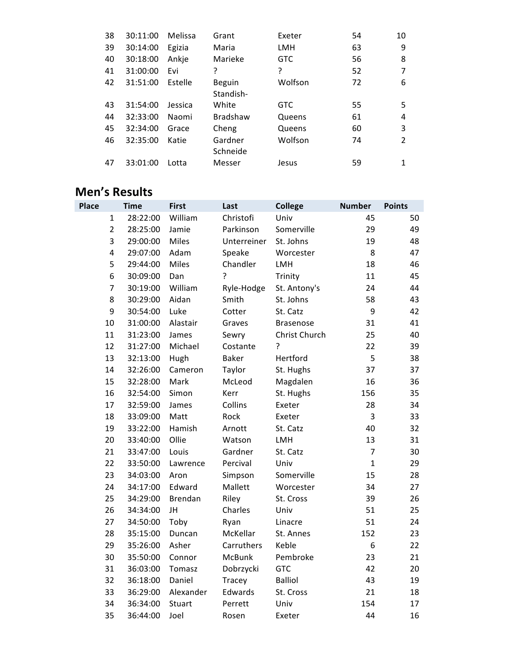| 38 | 30:11:00 | Melissa | Grant           | Exeter     | 54 | 10             |
|----|----------|---------|-----------------|------------|----|----------------|
| 39 | 30:14:00 | Egizia  | Maria           | <b>LMH</b> | 63 | 9              |
| 40 | 30:18:00 | Ankje   | Marieke         | <b>GTC</b> | 56 | 8              |
| 41 | 31:00:00 | Evi     | ?               | ?          | 52 | 7              |
| 42 | 31:51:00 | Estelle | <b>Beguin</b>   | Wolfson    | 72 | 6              |
|    |          |         | Standish-       |            |    |                |
| 43 | 31:54:00 | Jessica | White           | <b>GTC</b> | 55 | 5              |
| 44 | 32:33:00 | Naomi   | <b>Bradshaw</b> | Queens     | 61 | 4              |
| 45 | 32:34:00 | Grace   | Cheng           | Queens     | 60 | 3              |
| 46 | 32:35:00 | Katie   | Gardner         | Wolfson    | 74 | $\overline{2}$ |
|    |          |         | Schneide        |            |    |                |
| 47 | 33:01:00 | Lotta   | Messer          | Jesus      | 59 | 1              |

## **Men's Results**

| <b>Place</b> | <b>Time</b>                         | <b>First</b> | Last         | <b>College</b>   | <b>Number</b>  | <b>Points</b> |
|--------------|-------------------------------------|--------------|--------------|------------------|----------------|---------------|
|              | 28:22:00<br>$\mathbf{1}$            | William      | Christofi    | Univ             | 45             | 50            |
|              | $\overline{2}$<br>28:25:00          | Jamie        | Parkinson    | Somerville       | 29             | 49            |
|              | 3<br>29:00:00                       | Miles        | Unterreiner  | St. Johns        | 19             | 48            |
|              | $\overline{\mathbf{4}}$<br>29:07:00 | Adam         | Speake       | Worcester        | 8              | 47            |
|              | 5<br>29:44:00                       | Miles        | Chandler     | LMH              | 18             | 46            |
|              | 6<br>30:09:00                       | Dan          | ŗ            | Trinity          | 11             | 45            |
|              | $\overline{7}$<br>30:19:00          | William      | Ryle-Hodge   | St. Antony's     | 24             | 44            |
|              | 8<br>30:29:00                       | Aidan        | Smith        | St. Johns        | 58             | 43            |
|              | 9<br>30:54:00                       | Luke         | Cotter       | St. Catz         | 9              | 42            |
| 10           | 31:00:00                            | Alastair     | Graves       | <b>Brasenose</b> | 31             | 41            |
| 11           | 31:23:00                            | James        | Sewry        | Christ Church    | 25             | 40            |
| 12           | 31:27:00                            | Michael      | Costante     | ?                | 22             | 39            |
| 13           | 32:13:00                            | Hugh         | <b>Baker</b> | Hertford         | 5              | 38            |
| 14           | 32:26:00                            | Cameron      | Taylor       | St. Hughs        | 37             | 37            |
| 15           | 32:28:00                            | Mark         | McLeod       | Magdalen         | 16             | 36            |
| 16           | 32:54:00                            | Simon        | Kerr         | St. Hughs        | 156            | 35            |
| 17           | 32:59:00                            | James        | Collins      | Exeter           | 28             | 34            |
| 18           | 33:09:00                            | Matt         | Rock         | Exeter           | 3              | 33            |
| 19           | 33:22:00                            | Hamish       | Arnott       | St. Catz         | 40             | 32            |
| 20           | 33:40:00                            | Ollie        | Watson       | <b>LMH</b>       | 13             | 31            |
| 21           | 33:47:00                            | Louis        | Gardner      | St. Catz         | $\overline{7}$ | 30            |
| 22           | 33:50:00                            | Lawrence     | Percival     | Univ             | $\mathbf{1}$   | 29            |
| 23           | 34:03:00                            | Aron         | Simpson      | Somerville       | 15             | 28            |
| 24           | 34:17:00                            | Edward       | Mallett      | Worcester        | 34             | 27            |
| 25           | 34:29:00                            | Brendan      | Riley        | St. Cross        | 39             | 26            |
| 26           | 34:34:00                            | JH           | Charles      | Univ             | 51             | 25            |
| 27           | 34:50:00                            | Toby         | Ryan         | Linacre          | 51             | 24            |
| 28           | 35:15:00                            | Duncan       | McKellar     | St. Annes        | 152            | 23            |
| 29           | 35:26:00                            | Asher        | Carruthers   | Keble            | 6              | 22            |
| 30           | 35:50:00                            | Connor       | McBunk       | Pembroke         | 23             | 21            |
| 31           | 36:03:00                            | Tomasz       | Dobrzycki    | <b>GTC</b>       | 42             | 20            |
| 32           | 36:18:00                            | Daniel       | Tracey       | <b>Balliol</b>   | 43             | 19            |
| 33           | 36:29:00                            | Alexander    | Edwards      | St. Cross        | 21             | 18            |
| 34           | 36:34:00                            | Stuart       | Perrett      | Univ             | 154            | 17            |
| 35           | 36:44:00                            | Joel         | Rosen        | Exeter           | 44             | 16            |